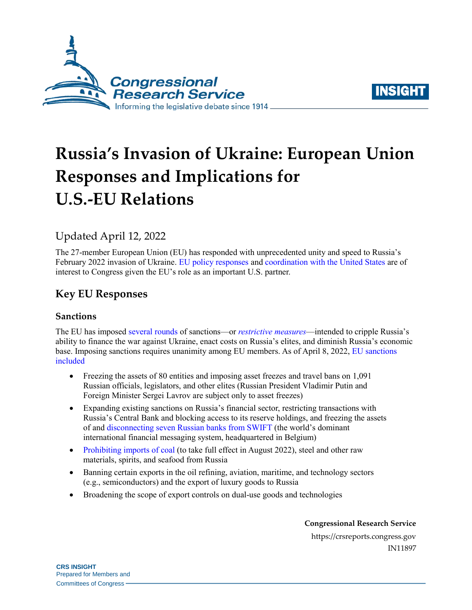



# **Russia's Invasion of Ukraine: European Union Responses and Implications for U.S.-EU Relations**

# Updated April 12, 2022

The 27-member European Union (EU) has responded with unprecedented unity and speed to Russia's February 2022 invasion of Ukraine. [EU policy responses](https://www.consilium.europa.eu/en/policies/eu-response-ukraine-invasion/) and [coordination with the United States](https://www.whitehouse.gov/briefing-room/statements-releases/2022/03/24/joint-statement-by-president-biden-and-president-von-der-leyen/) are of interest to Congress given the EU's role as an important U.S. partner.

# **Key EU Responses**

### **Sanctions**

The EU has impose[d several rounds](https://www.consilium.europa.eu/en/policies/sanctions/restrictive-measures-ukraine-crisis/history-restrictive-measures-ukraine-crisis/) of sanctions—or *[restrictive measures](https://ec.europa.eu/info/business-economy-euro/banking-and-finance/international-relations/restrictive-measures-sanctions_en#introduction)*—intended to cripple Russia's ability to finance the war against Ukraine, enact costs on Russia's elites, and diminish Russia's economic base. Imposing sanctions requires unanimity among EU members. As of April 8, 2022, [EU sanctions](https://ec.europa.eu/info/strategy/priorities-2019-2024/stronger-europe-world/eu-solidarity-ukraine/eu-sanctions-against-russia-following-invasion-ukraine_en)  [included](https://ec.europa.eu/info/strategy/priorities-2019-2024/stronger-europe-world/eu-solidarity-ukraine/eu-sanctions-against-russia-following-invasion-ukraine_en)

- Freezing the assets of 80 entities and imposing asset freezes and travel bans on 1,091 Russian officials, legislators, and other elites (Russian President Vladimir Putin and Foreign Minister Sergei Lavrov are subject only to asset freezes)
- Expanding existing sanctions on Russia's financial sector, restricting transactions with Russia's Central Bank and blocking access to its reserve holdings, and freezing the assets of and [disconnecting seven Russian banks](https://www.consilium.europa.eu/en/press/press-releases/2022/03/02/russia-s-military-aggression-against-ukraine-eu-bans-certain-russian-banks-from-swift-system-and-introduces-further-restrictions/) from SWIFT (the world's dominant international financial messaging system, headquartered in Belgium)
- [Prohibiting](https://ec.europa.eu/commission/presscorner/detail/en/qanda_22_2333) imports of coal (to take full effect in August 2022), steel and other raw materials, spirits, and seafood from Russia
- Banning certain exports in the oil refining, aviation, maritime, and technology sectors (e.g., semiconductors) and the export of luxury goods to Russia
- Broadening the scope of export controls on dual-use goods and technologies

**Congressional Research Service**

https://crsreports.congress.gov IN11897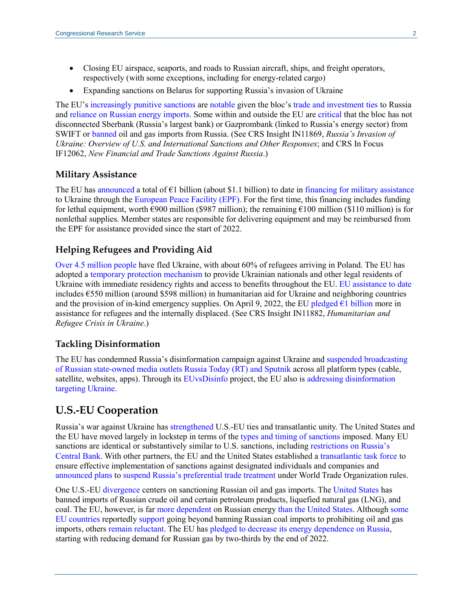- Closing EU airspace, seaports, and roads to Russian aircraft, ships, and freight operators, respectively (with some exceptions, including for energy-related cargo)
- Expanding sanctions on Belarus for supporting Russia's invasion of Ukraine

The EU's [increasingly punitive](https://www.politico.eu/article/the-end-of-europes-putin-illusion/) sanctions are [notable](https://www.washingtonpost.com/world/2022/03/02/europe-russia-sanctions-backlash/) given the bloc's [trade and investment ties](https://www.politico.eu/article/eu-ukraine-russia-war-economy-mario-draghi/) to Russia and [reliance on Russian energy](https://www.nytimes.com/2022/02/25/business/economy/russia-europe-sanctions-gas-oil.html) imports. Some within and outside the EU ar[e critical](https://www.politico.eu/article/eu-considers-cutting-7-banks-from-swift-but-some-big-names-missing-document/) that the bloc has not disconnected Sberbank (Russia's largest bank) or Gazprombank (linked to Russia's energy sector) from SWIFT or [banned](https://www.bbc.com/news/world-europe-60654586) oil and gas imports from Russia. (See CRS Insight IN11869, *[Russia's Invasion of](https://crsreports.congress.gov/product/pdf/IN/IN11869)  [Ukraine: Overview of U.S. and International Sanctions and Other Responses](https://crsreports.congress.gov/product/pdf/IN/IN11869)*; and CRS In Focus IF12062, *[New Financial and Trade Sanctions Against Russia](https://crsreports.congress.gov/product/pdf/IF/IF12062)*.)

#### **Military Assistance**

The EU ha[s announced](https://www.consilium.europa.eu/en/press/press-releases/2022/03/23/eu-support-to-ukraine-council-doubles-funding-under-the-european-peace-facility/) a total of  $\epsilon$ 1 billion (about \$1.1 billion) to date in [financing for military assistance](https://www.europarl.europa.eu/RegData/etudes/ATAG/2022/729301/EPRS_ATA(2022)729301_EN.pdf) to Ukraine through the [European Peace Facility \(EPF\).](https://www.consilium.europa.eu/en/policies/european-peace-facility/) For the first time, this financing includes funding for lethal equipment, worth  $\epsilon$ 900 million (\$987 million); the remaining  $\epsilon$ 100 million (\$110 million) is for nonlethal supplies. Member states are responsible for delivering equipment and may be reimbursed from the EPF for assistance provided since the start of 2022.

#### **Helping Refugees and Providing Aid**

Over 4.5 [million people](https://data2.unhcr.org/en/situations/ukraine) have fled Ukraine, with about 60% of refugees arriving in Poland. The EU has adopted a [temporary protection mechanism](https://www.consilium.europa.eu/en/press/press-releases/2022/03/04/ukraine-council-introduces-temporary-protection-for-persons-fleeing-the-war/) to provide Ukrainian nationals and other legal residents of Ukraine with immediate residency rights and access to benefits throughout the EU. [EU assistance to date](https://ec.europa.eu/info/strategy/priorities-2019-2024/stronger-europe-world/eu-solidarity-ukraine/eu-assistance-ukraine_en) includes €550 million (around \$598 million) in humanitarian aid for Ukraine and neighboring countries and the provision of in-kind emergency supplies. On April 9, 2022, the EU pledged  $\epsilon$ 1 billion more in assistance for refugees and the internally displaced. (See CRS Insight IN11882, *[Humanitarian and](https://crsreports.congress.gov/product/pdf/IN/IN11882)  [Refugee Crisis in Ukraine](https://crsreports.congress.gov/product/pdf/IN/IN11882)*.)

#### **Tackling Disinformation**

The EU has condemned Russia's disinformation campaign against Ukraine and suspended [broadcasting](https://www.consilium.europa.eu/en/press/press-releases/2022/03/02/eu-imposes-sanctions-on-state-owned-outlets-rt-russia-today-and-sputnik-s-broadcasting-in-the-eu/)  [of Russian state-owned media outlets Russia Today \(RT\) and Sputnik](https://www.consilium.europa.eu/en/press/press-releases/2022/03/02/eu-imposes-sanctions-on-state-owned-outlets-rt-russia-today-and-sputnik-s-broadcasting-in-the-eu/) across all platform types (cable, satellite, websites, apps). Through its [EUvsDisinfo](https://euvsdisinfo.eu/about/) project, the EU also is addressing [disinformation](https://euvsdisinfo.eu/category/ukraine-page/)  [targeting Ukraine.](https://euvsdisinfo.eu/category/ukraine-page/)

# **U.S.-EU Cooperation**

Russia's war against Ukraine has [strengthened](https://www.nytimes.com/2022/03/05/world/europe/russia-ukraine-invasion-sanctions.html) U.S.-EU ties and transatlantic unity. The United States and the EU have moved largely in lockstep in terms of the [types and timing of sanctions](https://www.ft.com/content/5b397d6b-bde4-4a8c-b9a4-080485d6c64a) imposed. Many EU sanctions are identical or substantively similar to U.S. sanctions, including [restrictions on Russia's](https://www.politico.eu/article/west-targets-russias-defenses-against-ruble-crash-bank-run/)  [Central Bank.](https://www.politico.eu/article/west-targets-russias-defenses-against-ruble-crash-bank-run/) With other partners, the EU and the United States established [a transatlantic task force](https://www.justice.gov/opa/pr/us-departments-justice-and-treasury-launch-multilateral-russian-oligarch-task-force) to ensure effective implementation of sanctions against designated individuals and companies an[d](https://www.consilium.europa.eu/en/press/press-releases/2022/03/11/g7-leaders-statement-11-march-2022/) [announced plans](https://www.consilium.europa.eu/en/press/press-releases/2022/03/11/g7-leaders-statement-11-march-2022/) to suspend [Russia's preferential trade treatment](https://ec.europa.eu/commission/presscorner/detail/en/ip_22_1761) under World Trade Organization rules.

One U.S.-EU [divergence](https://www.politico.eu/article/crack-west-unity-vladimir-putin-oil-sanction-russia-ukraine/) centers on sanctioning Russian oil and gas imports. The [United States](https://www.whitehouse.gov/briefing-room/statements-releases/2022/03/08/fact-sheet-united-states-bans-imports-of-russian-oil-liquefied-natural-gas-and-coal/) has banned imports of Russian crude oil and certain petroleum products, liquefied natural gas (LNG), and coal. The EU, however, is far [more dependent](https://ec.europa.eu/eurostat/cache/infographs/energy/bloc-2c.html#carouselControls?lang=en) on Russian energy [than the United States.](https://www.eia.gov/todayinenergy/detail.php?id=51738) Although [some](https://www.euractiv.com/section/energy/news/network-roundup-eu-split-on-russian-oil-and-gas-ban/)  [EU countries](https://www.euractiv.com/section/energy/news/network-roundup-eu-split-on-russian-oil-and-gas-ban/) reportedly [support](https://www.politico.eu/article/eu-russia-saction-war-ukraine-trade/) going beyond banning Russian coal imports to prohibiting oil and gas imports, others [remain reluctant.](https://www.wsj.com/articles/europe-keeps-russian-oil-gas-flowing-despite-tightening-sanctions-11649255803) The EU has [pledged to decrease its energy dependence on Russia,](https://ec.europa.eu/commission/presscorner/detail/%20en/ip_22_1511) starting with reducing demand for Russian gas by two-thirds by the end of 2022.